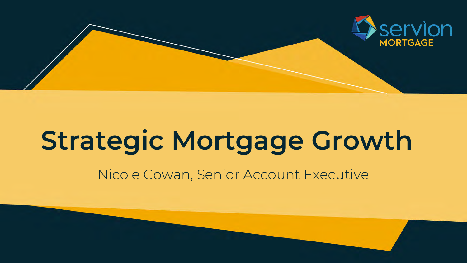

# **Strategic Mortgage Growth**

### Nicole Cowan, Senior Account Executive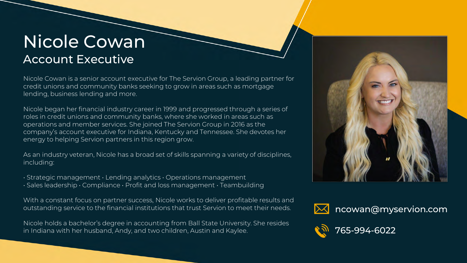### Nicole Cowan Account Executive

Nicole Cowan is a senior account executive for The Servion Group, a leading partner for credit unions and community banks seeking to grow in areas such as mortgage lending, business lending and more.

Nicole began her financial industry career in 1999 and progressed through a series of roles in credit unions and community banks, where she worked in areas such as operations and member services. She joined The Servion Group in 2016 as the company's account executive for Indiana, Kentucky and Tennessee. She devotes her energy to helping Servion partners in this region grow.

As an industry veteran, Nicole has a broad set of skills spanning a variety of disciplines, including:

- Strategic management Lending analytics Operations management
- Sales leadership Compliance Profit and loss management Teambuilding

With a constant focus on partner success, Nicole works to deliver profitable results and outstanding service to the financial institutions that trust Servion to meet their needs.

Nicole holds a bachelor's degree in accounting from Ball State University. She resides in Indiana with her husband, Andy, and two children, Austin and Kaylee.







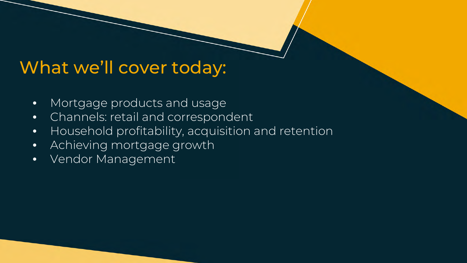### What we'll cover today:

- Mortgage products and usage
- Channels: retail and correspondent
- Household profitability, acquisition and retention
- Achieving mortgage growth
- Vendor Management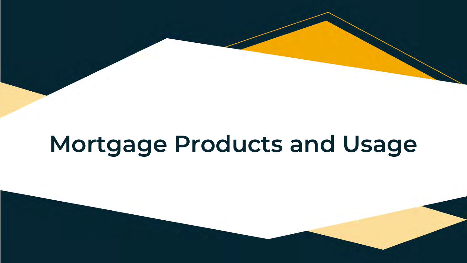# **Mortgage Products and Usage**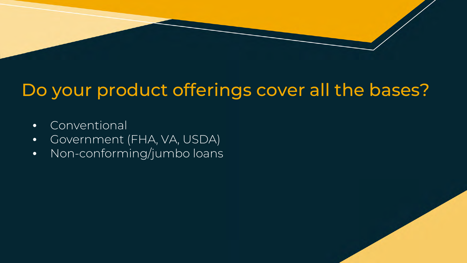## Do your product offerings cover all the bases?

- Conventional
- Government (FHA, VA, USDA)
- Non-conforming/jumbo loans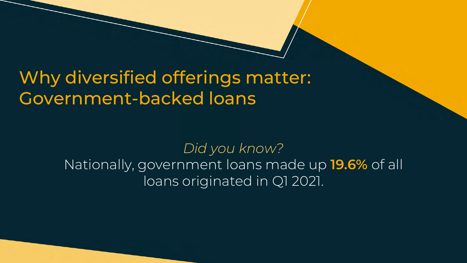## Why diversified offerings matter: Government-backed loans

*Did you know?* Nationally, government loans made up **19.6%** of all loans originated in Q1 2021.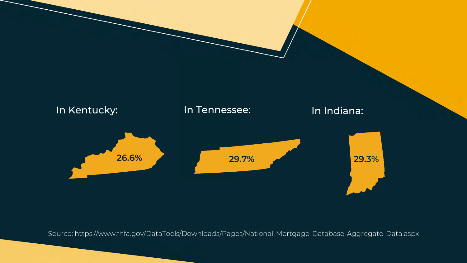

Source: https://www.fhfa.gov/DataTools/Downloads/Pages/National-Mortgage-Database-Aggregate-Data.aspx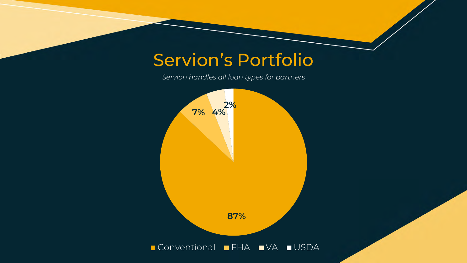### Servion's Portfolio

*Servion handles all loan types for partners*

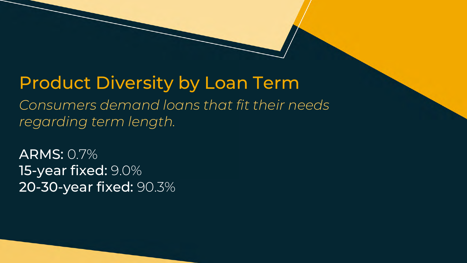### Product Diversity by Loan Term

*Consumers demand loans that fit their needs regarding term length.*

ARMS: 0.7% 15-year fixed: 9.0% 20-30-year fixed: 90.3%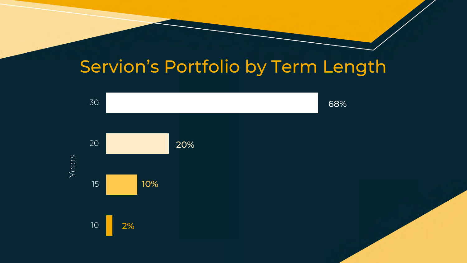## Servion's Portfolio by Term Length

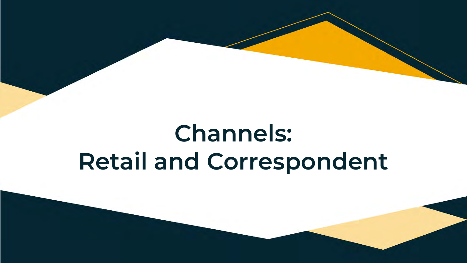# **Channels: Retail and Correspondent**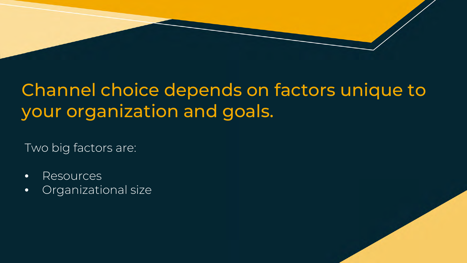## Channel choice depends on factors unique to your organization and goals.

Two big factors are:

- Resources
- Organizational size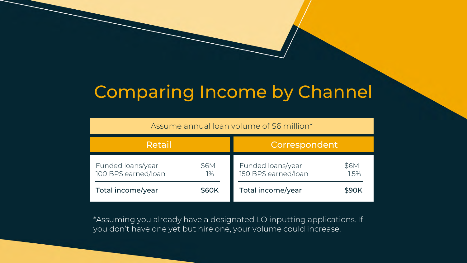### Comparing Income by Channel

| Assume annual loan volume of \$6 million* |  |  |
|-------------------------------------------|--|--|
|-------------------------------------------|--|--|

| Retail                                   |            | Correspondent                            |                     |  |
|------------------------------------------|------------|------------------------------------------|---------------------|--|
| Funded loans/year<br>100 BPS earned/loan | \$6M<br>1% | Funded loans/year<br>150 BPS earned/loan | <b>\$6M</b><br>1.5% |  |
| Total income/year                        | \$60K      | Total income/year                        | \$90K               |  |

\*Assuming you already have a designated LO inputting applications. If you don't have one yet but hire one, your volume could increase.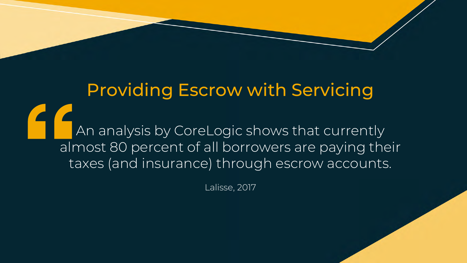## Providing Escrow with Servicing An analysis by CoreLogic shows that currently almost 80 percent of all borrowers are paying their taxes (and insurance) through escrow accounts.

Lalisse, 2017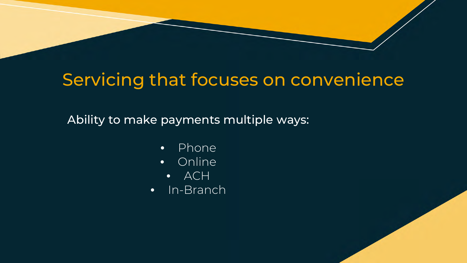## Servicing that focuses on convenience

Ability to make payments multiple ways:

- Phone
- Online
	- ACH
- In-Branch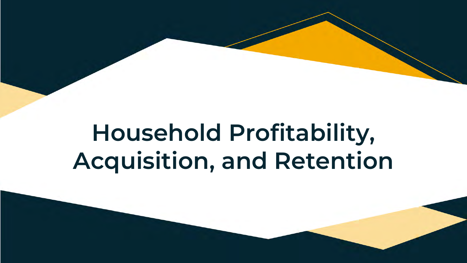# **Household Profitability, Acquisition, and Retention**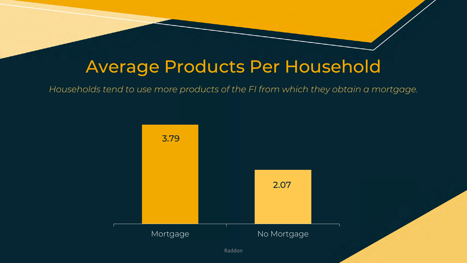### Average Products Per Household

*Households tend to use more products of the FI from which they obtain a mortgage.*

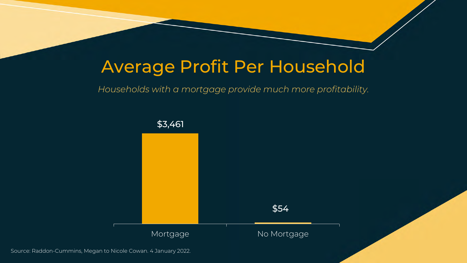### Average Profit Per Household

### *Households with a mortgage provide much more profitability.*



Source: Raddon-Cummins, Megan to Nicole Cowan. 4 January 2022.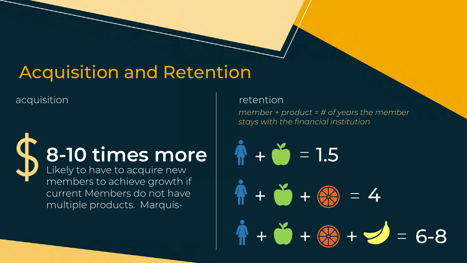## Acquisition and Retention

acquisition acquisition acquisition

# **8-10 times more**  $\mathbf{r} + \mathbf{r} = 1.5$

Likely to have to acquire new members to achieve growth if current Members do not have multiple products. Marquis-

*member + product = # of years the member stays with the financial institution*

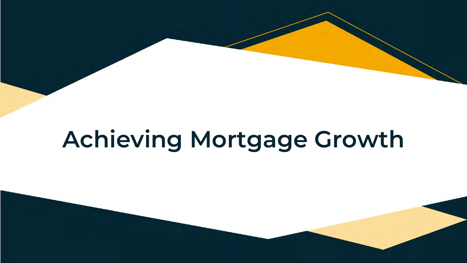# **Achieving Mortgage Growth**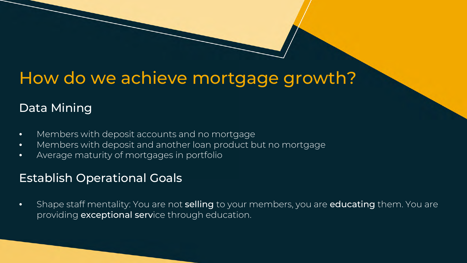### How do we achieve mortgage growth?

### Data Mining

- Members with deposit accounts and no mortgage
- Members with deposit and another loan product but no mortgage
- Average maturity of mortgages in portfolio

### Establish Operational Goals

• Shape staff mentality: You are not **selling** to your members, you are **educating** them. You are providing exceptional service through education.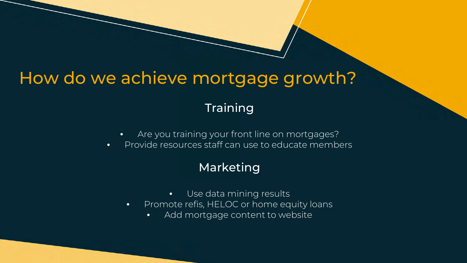### How do we achieve mortgage growth?

### **Training**

- Are you training your front line on mortgages?
- Provide resources staff can use to educate members

### Marketing

- Use data mining results
- Promote refis, HELOC or home equity loans
	- Add mortgage content to website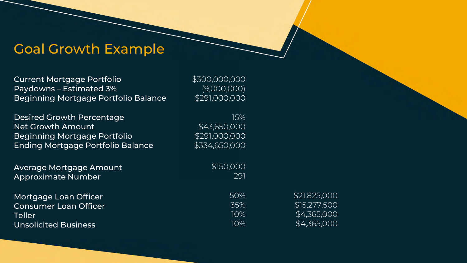### Goal Growth Example

| <b>Current Mortgage Portfolio</b><br>Paydowns - Estimated 3%<br>Beginning Mortgage Portfolio Balance | \$300,000,000<br>(9,000,000)<br>\$291,000,000 |              |
|------------------------------------------------------------------------------------------------------|-----------------------------------------------|--------------|
| <b>Desired Growth Percentage</b>                                                                     | 15%                                           |              |
| <b>Net Growth Amount</b>                                                                             | \$43,650,000                                  |              |
| <b>Beginning Mortgage Portfolio</b>                                                                  | \$291,000,000                                 |              |
| <b>Ending Mortgage Portfolio Balance</b>                                                             | \$334,650,000                                 |              |
| Average Mortgage Amount                                                                              | \$150,000                                     |              |
| <b>Approximate Number</b>                                                                            | 291                                           |              |
| Mortgage Loan Officer                                                                                | 50%                                           | \$21,825,000 |
| <b>Consumer Loan Officer</b>                                                                         | 35%                                           | \$15,277,500 |
| <b>Teller</b>                                                                                        | 10%                                           | \$4,365,000  |
| <b>Unsolicited Business</b>                                                                          | 10%                                           | \$4,365,000  |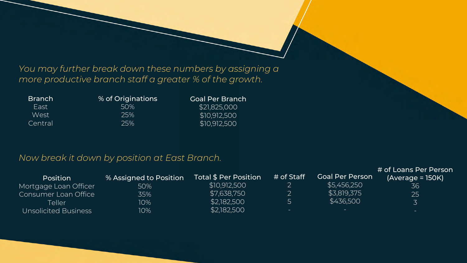*You may further break down these numbers by assigning a more productive branch staff a greater % of the growth.* 

| <b>Branch</b> | % of Originations | <b>Goal Per Branch</b> |
|---------------|-------------------|------------------------|
| Fast          | 50%               | \$21,825,000           |
| West          | 25%               | \$10,912,500           |
| Central       | 25%               | \$10,912,500           |

### *Now break it down by position at East Branch.*

| <b>Position</b>       | % Assigned to Position | Total \$ Per Position \ | # of Staff | <b>Goal Per Person</b> | # of Loans Per Person<br>$(Average = 150K)$ |
|-----------------------|------------------------|-------------------------|------------|------------------------|---------------------------------------------|
| Mortgage Loan Officer | 50%                    | \$10,912,500            | ∠          | \$5,456,250            | 36                                          |
| Consumer Loan Office  | 35%                    | \$7,638,750             |            | \$3,819,375            | 25                                          |
| Teller                | 10%                    | \$2,182,500             | ∽          | \$436,500              |                                             |
| Unsolicited Business  | 10%                    | \$2,182,500             | $-$        | $-$                    | $\sim$                                      |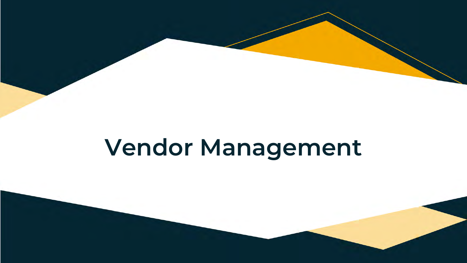# **Vendor Management**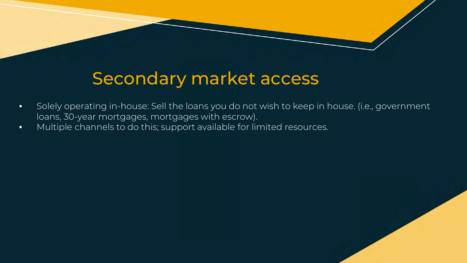## Secondary market access

- Solely operating in-house: Sell the loans you do not wish to keep in house. (i.e., government loans, 30-year mortgages, mortgages with escrow).
- Multiple channels to do this; support available for limited resources.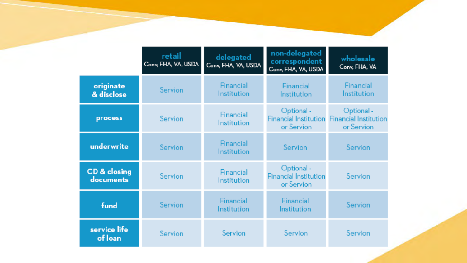|                           | retail<br>Conv, FHA, VA, USDA | delegated<br>Conv, FHA, VA, USDA | non-delegated<br>correspondent<br>Conv, FHA, VA, USDA    | wholesale<br>Conv, FHA, VA                               |
|---------------------------|-------------------------------|----------------------------------|----------------------------------------------------------|----------------------------------------------------------|
| originate<br>& disclose   | Servion                       | Financial<br>Institution         | Financial<br>Institution                                 | Financial<br>Institution                                 |
| process                   | Servion                       | Financial<br>Institution         | Optional -<br><b>Financial Institution</b><br>or Servion | Optional -<br><b>Financial Institution</b><br>or Servion |
| underwrite                | Servion                       | Financial<br>Institution         | Servion                                                  | Servion                                                  |
| CD & closing<br>documents | Servion                       | Financial<br>Institution         | Optional -<br><b>Financial Institution</b><br>or Servion | Servion                                                  |
| fund                      | Servion                       | Financial<br>Institution         | Financial<br>Institution                                 | Servion                                                  |
| service life<br>of loan   | Servion                       | Servion                          | Servion                                                  | Servion                                                  |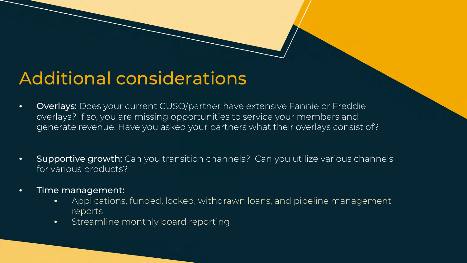### Additional considerations

- Overlays: Does your current CUSO/partner have extensive Fannie or Freddie overlays? If so, you are missing opportunities to service your members and generate revenue. Have you asked your partners what their overlays consist of?
- Supportive growth: Can you transition channels? Can you utilize various channels for various products?
- Time management:
	- Applications, funded, locked, withdrawn loans, and pipeline management reports
	- Streamline monthly board reporting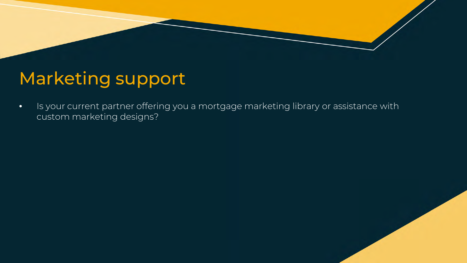## Marketing support

• Is your current partner offering you a mortgage marketing library or assistance with custom marketing designs?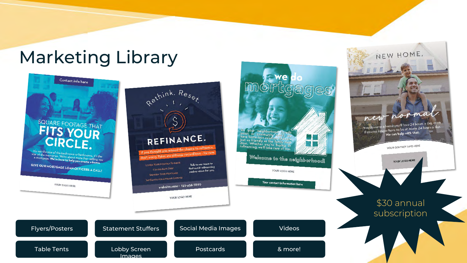### Marketing Library



NEW HOME,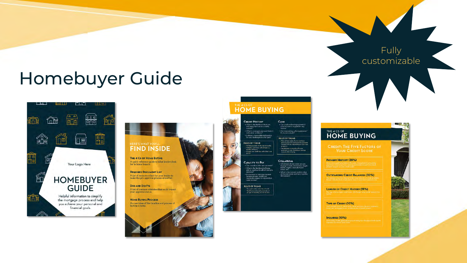### Homebuyer Guide





make the pre-approval process smoother. **DOS AND DON'TS** A list of common mistakes that could impact

your approval status. **HOME BUYING PROCESS** An overview of the timeline and process of



### THE 4 CS OF **HOME BUYING**

months of heats

**CAPACITY TO PAY** 

### **CREDIT HISTORY** CASH - Can you handle the payments if<br>your income is stopped for any<br>reason?  $\bullet$  What is the likelihood that you will repay the loan in a timely manner?  $\bullet$  What is your past payment history with other creditors?

 $\bullet$  Are you making a down payment<br>If yes, how much?  $\cdot$  Is there a reasonable explanation<br>for any challenges in your past? **RULES OF THUMB** - Have at least 15% of your purchase<br>price to put down (estual down paym<br>needed will vary depending on your) **RULES OF THUMB** 

.<br>• No late payments in the last 12 months<br>• Hultiple credit lines with at least 24 broarm) Should have 2-3 months of house payments in your checking or savings<br>account after closing. At least one credit line with a limit on

COLLATERAL · Can you afford the new payment' - Can you altors the raw payment<br>- What is the likelihood of being<br>- able to continue to afford this new<br>- payment? home, etc.)  $\begin{array}{ll} \bullet \text{ If you were to lose your current} \\ \text{income stream, would you}\\ \text{reasonably expect to replace that} \end{array}$ 

**RULES OF THUMB** Two years in the same line of wo Total home and credit payments of<br>a 0 45% of monthly, pre-tax incom-

. What type of real estate are you buying? (Condo, townhome, single<br>family, duplex, manufactured . What is the current market value<br>of the real estate and how was this

same income

THE 4 CS OF **HOME BUYING** 

**CREDIT: THE FIVE FACTORS OF YOUR CREDIT SCORE** 

Fully

customizable

 $\mathcal{L}$  ,  $\mathcal{L}$ 

**PAYMENT HISTORY (35%)** 

**OUTSTANDING CREDIT BALANCES (30%)** 

**LENGTH OF CREDIT HISTORY (15%)** 

**TYPE OF CREDIT (10%)** 

INQUIRIES (10%)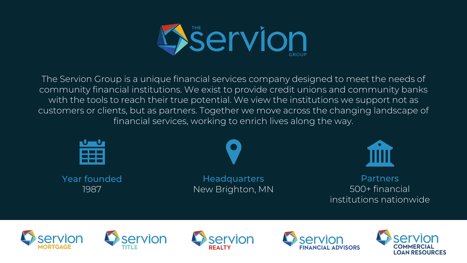

The Servion Group is a unique financial services company designed to meet the needs of community financial institutions. We exist to provide credit unions and community banks with the tools to reach their true potential. We view the institutions we support not as customers or clients, but as partners. Together we move across the changing landscape of financial services, working to enrich lives along the way.